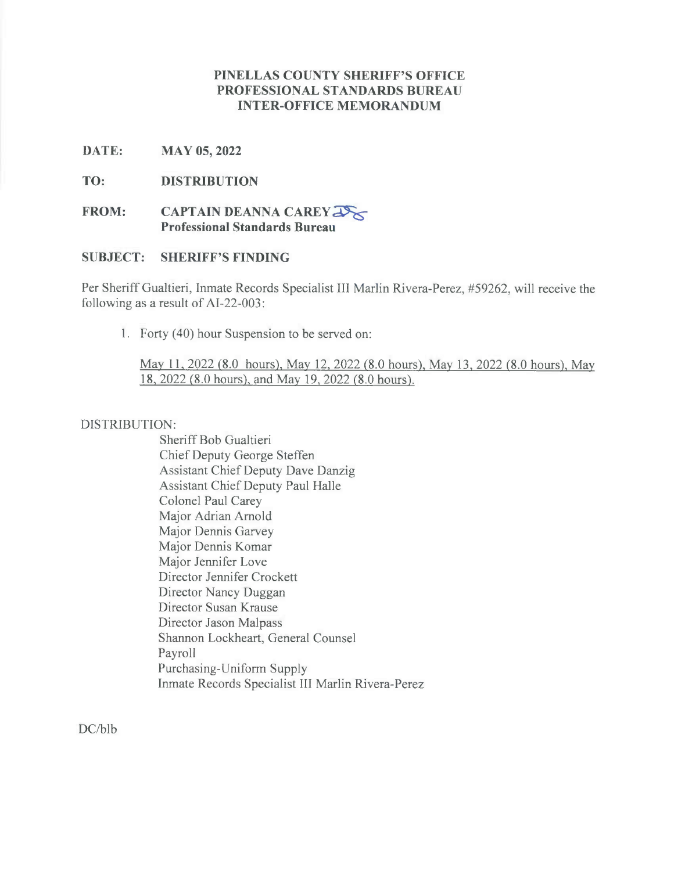## **PINELLAS COUNTY SHERIFF'S OFFICE PROFESSIONAL STANDARDS BUREAU INTER-OFFICE MEMORANDUM**

## **DATE: MAY 05, 2022**

## **TO: DISTRIBUTION**

# **FROM: CAPTAIN DEANNA CAREY Professional Standards Bureau**

# **SUBJECT: SHERIFF'S FINDING**

Per Sheriff Gualtieri, Inmate Records Specialist III Marlin Rivera-Perez, #59262, will receive the following as a result of AI-22-003:

1. Forty (40) hour Suspension to be served on:

May 11, 2022 *(8.0 hours)*, May 12, 2022 *(8.0 hours)*, May 13, 2022 *(8.0 hours)*, May 18, 2022 *(8.0* hours). and May 19, 2022 *(8.0* hours).

#### DISTRIBUTION:

Sheriff Bob Gualtieri Chief Deputy George Steffen Assistant Chief Deputy Dave Danzig Assistant Chief Deputy Paul Halle Colonel Paul Carey Major Adrian Arnold Major Dennis Garvey Major Dennis Komar Major Jennifer Love Director Jennifer Crockett Director Nancy Duggan Director Susan Krause Director Jason Malpass Shannon Lockheart, General Counsel Payroll Purchasing-Uniform Supply Inmate Records Specialist III Marlin Rivera-Perez

DC/blb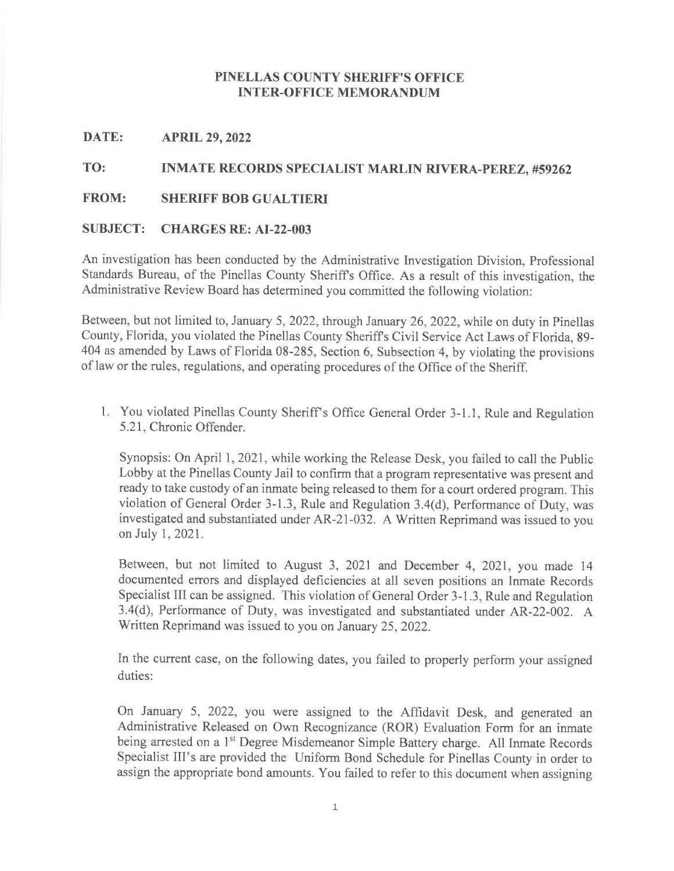## **PINELLAS COUNTY SHERIFF'S OFFICE INTER-OFFICE MEMORANDUM**

#### **DATE: APRIL 29, 2022**

# **TO: INMATE RECORDS SPECIALIST MARLIN RIVERA-PEREZ, #59262**

#### **FROM: SHERIFF BOB GUALTIERI**

#### **SUBJECT: CHARGES RE: AI-22-003**

An investigation has been conducted by the Administrative Investigation Division, Professional Standards Bureau, of the Pinellas County Sheriffs Office. As a result of this investigation, the Administrative Review Board has determined you committed the following violation:

Between, but not limited to, January 5, 2022, through January 26, 2022, while on duty in Pinellas County, Florida, you violated the Pinellas County Sheriffs Civil Service Act Laws of Florida, 89- 404 as amended by Laws of Florida 08-285, Section 6, Subsection 4, by violating the provisions of law or the rules, regulations, and operating procedures of the Office of the Sheriff.

1. You violated Pinellas County Sheriff's Office General Order 3-1.1, Rule and Regulation <sup>5</sup> .21, Chronic Offender.

Synopsis: On April 1, 2021, while working the Release Desk, you failed to call the Public Lobby at the Pinellas County Jail to confirm that a program representative was present and ready to take custody of an inmate being released to them for a court ordered program. This violation of General Order 3-1.3, Rule and Regulation 3.4(d), Performance of Duty, was investigated and substantiated under AR-21-032. A Written Reprimand was issued to you on July 1, 2021.

Between, but not limited to August 3, 2021 and December 4, 2021, you made 14 documented errors and displayed deficiencies at all seven positions an Inmate Records Specialist III can be assigned. This violation of General Order 3-1.3, Rule and Regulation 3.4(d), Performance of Duty, was investigated and substantiated under AR-22-002. A Written Reprimand was issued to you on January 25, 2022.

In the current case, on the following dates, you failed to properly perform your assigned duties:

On January 5, 2022, you were assigned to the Affidavit Desk, and generated an Administrative Released on Own Recognizance (ROR) Evaluation Form for an inmate being arrested on a 1<sup>st</sup> Degree Misdemeanor Simple Battery charge. All Inmate Records Specialist Ill's are provided the Uniform Bond Schedule for Pinellas County in order to assign the appropriate bond amounts. You failed to refer to this document when assigning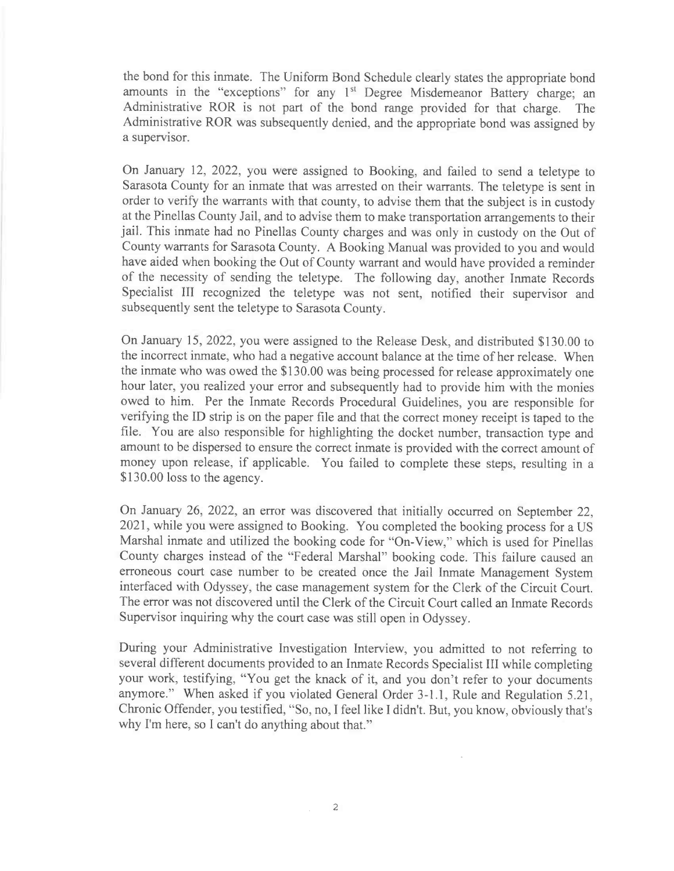the bond for this inmate. The Uniform Bond Schedule clearly states the appropriate bond amounts in the "exceptions" for any 1<sup>st</sup> Degree Misdemeanor Battery charge; an Administrative ROR is not part of the bond range provided for that charge. The Administrative ROR was subsequently denied, and the appropriate bond was assigned by a supervisor.

On January 12, 2022, you were assigned to Booking, and failed to send a teletype to Sarasota County for an inmate that was arrested on their warrants. The teletype is sent in order to verify the warrants with that county, to advise them that the subject is in custody at the Pinellas County Jail, and to advise them to make transportation arrangements to their jail. This inmate had no Pinellas County charges and was only in custody on the Out of County warrants for Sarasota County. A Booking Manual was provided to you and would have aided when booking the Out of County warrant and would have provided a reminder of the necessity of sending the teletype. The following day, another Inmate Records Specialist III recognized the teletype was not sent, notified their supervisor and subsequently sent the teletype to Sarasota County.

On January 15, 2022, you were assigned to the Release Desk, and distributed \$130.00 to the incorrect inmate, who had a negative account balance at the time of her release. When the inmate who was owed the \$130.00 was being processed for release approximately one hour later, you realized your error and subsequently had to provide him with the monies owed to him. Per the Inmate Records Procedural Guidelines, you are responsible for verifying the ID strip is on the paper file and that the correct money receipt is taped to the file. You are also responsible for highlighting the docket number, transaction type and amount to be dispersed to ensure the correct inmate is provided with the correct amount of money upon release, if applicable. You failed to complete these steps, resulting in a \$130.00 loss to the agency.

On January 26, 2022, an error was discovered that initially occurred on September 22, 2021, while you were assigned to Booking. You completed the booking process for a US Marshal inmate and utilized the booking code for "On-View," which is used for Pinellas County charges instead of the "Federal Marshal" booking code. This failure caused an erroneous court case number to be created once the Jail Inmate Management System interfaced with Odyssey, the case management system for the Clerk of the Circuit Court. The error was not discovered until the Clerk of the Circuit Court called an Inmate Records Supervisor inquiring why the court case was still open in Odyssey.

During your Administrative Investigation Interview, you admitted to not referring to several different documents provided to an Inmate Records Specialist III while completing your work, testifying, "You get the knack of it, and you don't refer to your documents anymore." When asked if you violated General Order 3-1.1, Rule and Regulation 5.21, Chronic Offender, you testified, "So, no, <sup>I</sup> feel like <sup>I</sup> didn't. But, you know, obviously that's why I'm here, so I can't do anything about that."